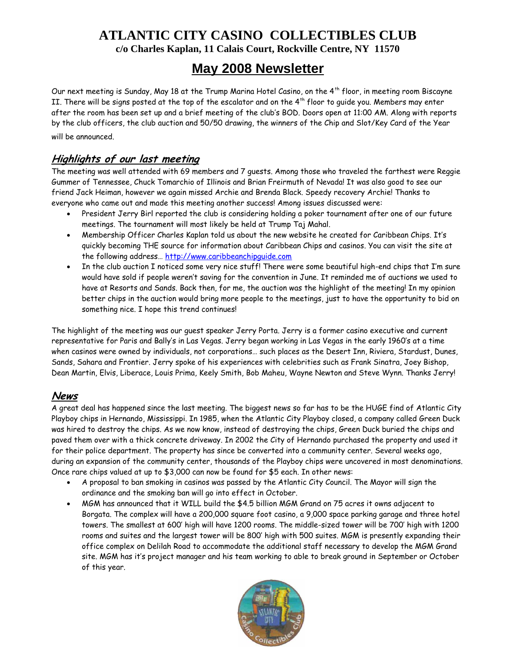## **ATLANTIC CITY CASINO COLLECTIBLES CLUB c/o Charles Kaplan, 11 Calais Court, Rockville Centre, NY 11570**

# **May 2008 Newsletter**

Our next meeting is Sunday, May 18 at the Trump Marina Hotel Casino, on the 4<sup>th</sup> floor, in meeting room Biscayne II. There will be signs posted at the top of the escalator and on the 4<sup>th</sup> floor to guide you. Members may enter after the room has been set up and a brief meeting of the club's BOD. Doors open at 11:00 AM. Along with reports by the club officers, the club auction and 50/50 drawing, the winners of the Chip and Slot/Key Card of the Year will be announced.

### **Highlights of our last meeting**

The meeting was well attended with 69 members and 7 guests. Among those who traveled the farthest were Reggie Gummer of Tennessee, Chuck Tomarchio of Illinois and Brian Freirmuth of Nevada! It was also good to see our friend Jack Heiman, however we again missed Archie and Brenda Black. Speedy recovery Archie! Thanks to everyone who came out and made this meeting another success! Among issues discussed were:

- President Jerry Birl reported the club is considering holding a poker tournament after one of our future meetings. The tournament will most likely be held at Trump Taj Mahal.
- Membership Officer Charles Kaplan told us about the new website he created for Caribbean Chips. It's quickly becoming THE source for information about Caribbean Chips and casinos. You can visit the site at the following address… http://www.caribbeanchipguide.com
- In the club auction I noticed some very nice stuff! There were some beautiful high-end chips that I'm sure would have sold if people weren't saving for the convention in June. It reminded me of auctions we used to have at Resorts and Sands. Back then, for me, the auction was the highlight of the meeting! In my opinion better chips in the auction would bring more people to the meetings, just to have the opportunity to bid on something nice. I hope this trend continues!

The highlight of the meeting was our guest speaker Jerry Porta. Jerry is a former casino executive and current representative for Paris and Bally's in Las Vegas. Jerry began working in Las Vegas in the early 1960's at a time when casinos were owned by individuals, not corporations… such places as the Desert Inn, Riviera, Stardust, Dunes, Sands, Sahara and Frontier. Jerry spoke of his experiences with celebrities such as Frank Sinatra, Joey Bishop, Dean Martin, Elvis, Liberace, Louis Prima, Keely Smith, Bob Maheu, Wayne Newton and Steve Wynn. Thanks Jerry!

#### **News**

A great deal has happened since the last meeting. The biggest news so far has to be the HUGE find of Atlantic City Playboy chips in Hernando, Mississippi. In 1985, when the Atlantic City Playboy closed, a company called Green Duck was hired to destroy the chips. As we now know, instead of destroying the chips, Green Duck buried the chips and paved them over with a thick concrete driveway. In 2002 the City of Hernando purchased the property and used it for their police department. The property has since be converted into a community center. Several weeks ago, during an expansion of the community center, thousands of the Playboy chips were uncovered in most denominations. Once rare chips valued at up to \$3,000 can now be found for \$5 each. In other news:

- A proposal to ban smoking in casinos was passed by the Atlantic City Council. The Mayor will sign the ordinance and the smoking ban will go into effect in October.
- MGM has announced that it WILL build the \$4.5 billion MGM Grand on 75 acres it owns adjacent to Borgata. The complex will have a 200,000 square foot casino, a 9,000 space parking garage and three hotel towers. The smallest at 600' high will have 1200 rooms. The middle-sized tower will be 700' high with 1200 rooms and suites and the largest tower will be 800' high with 500 suites. MGM is presently expanding their office complex on Delilah Road to accommodate the additional staff necessary to develop the MGM Grand site. MGM has it's project manager and his team working to able to break ground in September or October of this year.